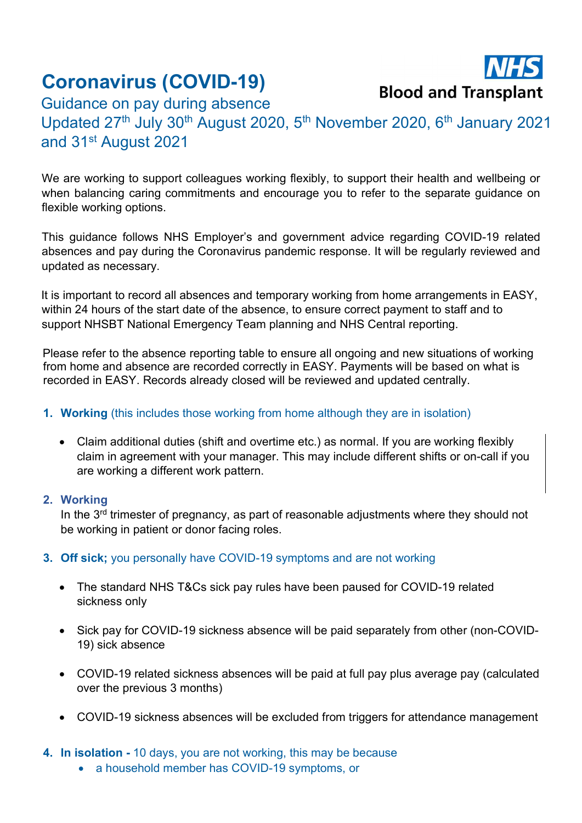## Coronavirus (COVID-19)



Guidance on pay during absence Updated 27<sup>th</sup> July 30<sup>th</sup> August 2020, 5<sup>th</sup> November 2020, 6<sup>th</sup> January 2021 and 31st August 2021

We are working to support colleagues working flexibly, to support their health and wellbeing or when balancing caring commitments and encourage you to refer to the separate guidance on flexible working options.

This guidance follows NHS Employer's and government advice regarding COVID-19 related absences and pay during the Coronavirus pandemic response. It will be regularly reviewed and updated as necessary.

It is important to record all absences and temporary working from home arrangements in EASY, within 24 hours of the start date of the absence, to ensure correct payment to staff and to support NHSBT National Emergency Team planning and NHS Central reporting.

Please refer to the absence reporting table to ensure all ongoing and new situations of working from home and absence are recorded correctly in EASY. Payments will be based on what is recorded in EASY. Records already closed will be reviewed and updated centrally.

## 1. Working (this includes those working from home although they are in isolation)

 Claim additional duties (shift and overtime etc.) as normal. If you are working flexibly claim in agreement with your manager. This may include different shifts or on-call if you are working a different work pattern.

## 2. Working

In the 3<sup>rd</sup> trimester of pregnancy, as part of reasonable adjustments where they should not be working in patient or donor facing roles.

## 3. Off sick; you personally have COVID-19 symptoms and are not working

- The standard NHS T&Cs sick pay rules have been paused for COVID-19 related sickness only
- Sick pay for COVID-19 sickness absence will be paid separately from other (non-COVID-19) sick absence
- COVID-19 related sickness absences will be paid at full pay plus average pay (calculated over the previous 3 months)
- COVID-19 sickness absences will be excluded from triggers for attendance management
- 4. In isolation 10 days, you are not working, this may be because
	- a household member has COVID-19 symptoms, or